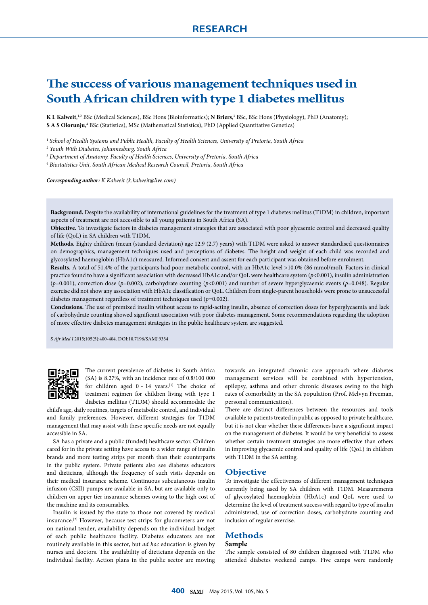# **The success of various management techniques used in South African children with type 1 diabetes mellitus**

 $K$  L Kalweit,<sup>1,2</sup> BSc (Medical Sciences), BSc Hons (Bioinformatics); **N Briers**,<sup>3</sup> BSc, BSc Hons (Physiology), PhD (Anatomy); **S A S Olorunju**,<sup>4</sup> BSc (Statistics), MSc (Mathematical Statistics), PhD (Applied Quantitative Genetics)

<sup>1</sup> *School of Health Systems and Public Health, Faculty of Health Sciences, University of Pretoria, South Africa*

<sup>2</sup> *Youth With Diabetes, Johannesburg, South Africa*

<sup>3</sup> *Department of Anatomy, Faculty of Health Sciences, University of Pretoria, South Africa*

<sup>4</sup> *Biostatistics Unit, South African Medical Research Council, Pretoria, South Africa*

*Corresponding author: K Kalweit (k.kalweit@live.com)*

**Background.** Despite the availability of international guidelines for the treatment of type 1 diabetes mellitus (T1DM) in children, important aspects of treatment are not accessible to all young patients in South Africa (SA).

**Objective.** To investigate factors in diabetes management strategies that are associated with poor glycaemic control and decreased quality of life (QoL) in SA children with T1DM.

**Methods.** Eighty children (mean (standard deviation) age 12.9 (2.7) years) with T1DM were asked to answer standardised questionnaires on demographics, management techniques used and perceptions of diabetes. The height and weight of each child was recorded and glycosylated haemoglobin (HbA1c) measured. Informed consent and assent for each participant was obtained before enrolment.

**Results.** A total of 51.4% of the participants had poor metabolic control, with an HbA1c level >10.0% (86 mmol/mol). Factors in clinical practice found to have a significant association with decreased HbA1c and/or QoL were healthcare system (*p*<0.001), insulin administration (*p*=0.001), correction dose (*p*=0.002), carbohydrate counting (*p*<0.001) and number of severe hyperglycaemic events (*p*=0.048). Regular exercise did not show any association with HbA1c classification or QoL. Children from single-parent households were prone to unsuccessful diabetes management regardless of treatment techniques used (*p*=0.002).

**Conclusions.** The use of premixed insulin without access to rapid-acting insulin, absence of correction doses for hyperglycaemia and lack of carbohydrate counting showed significant association with poor diabetes management. Some recommendations regarding the adoption of more effective diabetes management strategies in the public healthcare system are suggested.

*S Afr Med J* 2015;105(5):400-404. DOI:10.7196/SAMJ.9334



The current prevalence of diabetes in South Africa (SA) is 8.27%, with an incidence rate of 0.8/100 000 for children aged 0 - 14 years.<sup>[1]</sup> The choice of treatment regimen for children living with type 1 diabetes mellitus (T1DM) should accommodate the

child's age, daily routines, targets of metabolic control, and individual and family preferences. However, different strategies for T1DM management that may assist with these specific needs are not equally accessible in SA.

SA has a private and a public (funded) healthcare sector. Children cared for in the private setting have access to a wider range of insulin brands and more testing strips per month than their counterparts in the public system. Private patients also see diabetes educators and dieticians, although the frequency of such visits depends on their medical insurance scheme. Continuous subcutaneous insulin infusion (CSII) pumps are available in SA, but are available only to children on upper-tier insurance schemes owing to the high cost of the machine and its consumables.

Insulin is issued by the state to those not covered by medical insurance.[2] However, because test strips for glucometers are not on national tender, availability depends on the individual budget of each public healthcare facility. Diabetes educators are not routinely available in this sector, but *ad hoc* education is given by nurses and doctors. The availability of dieticians depends on the individual facility. Action plans in the public sector are moving

towards an integrated chronic care approach where diabetes management services will be combined with hypertension, epilepsy, asthma and other chronic diseases owing to the high rates of comorbidity in the SA population (Prof. Melvyn Freeman, personal communication).

There are distinct differences between the resources and tools available to patients treated in public as opposed to private healthcare, but it is not clear whether these differences have a significant impact on the management of diabetes. It would be very beneficial to assess whether certain treatment strategies are more effective than others in improving glycaemic control and quality of life (QoL) in children with T1DM in the SA setting.

#### **Objective**

To investigate the effectiveness of different management techniques currently being used by SA children with T1DM. Measurements of glycosylated haemoglobin (HbA1c) and QoL were used to determine the level of treatment success with regard to type of insulin administered, use of correction doses, carbohydrate counting and inclusion of regular exercise.

### **Methods**

#### **Sample**

The sample consisted of 80 children diagnosed with T1DM who attended diabetes weekend camps. Five camps were randomly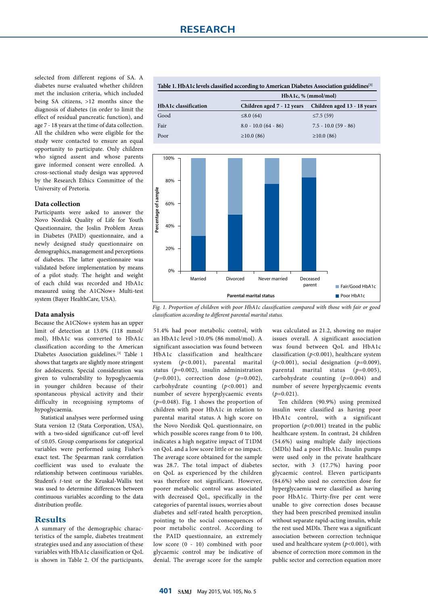selected from different regions of SA. A diabetes nurse evaluated whether children met the inclusion criteria, which included being SA citizens, >12 months since the diagnosis of diabetes (in order to limit the effect of residual pancreatic function), and age 7 - 18 years at the time of data collection. All the children who were eligible for the study were contacted to ensure an equal opportunity to participate. Only children who signed assent and whose parents gave informed consent were enrolled. A cross-sectional study design was approved by the Research Ethics Committee of the University of Pretoria.

## **Data collection**

Participants were asked to answer the Novo Nordisk Quality of Life for Youth Questionnaire, the Joslin Problem Areas in Diabetes (PAID) questionnaire, and a newly designed study questionnaire on demographics, management and perceptions of diabetes. The latter questionnaire was validated before implementation by means of a pilot study. The height and weight of each child was recorded and HbA1c measured using the A1CNow+ Multi-test system (Bayer HealthCare, USA).

#### **Data analysis**

Because the A1CNow+ system has an upper limit of detection at 13.0% (118 mmol/ mol), HbA1c was converted to HbA1c classification according to the American Diabetes Association guidelines.[3] Table 1 shows that targets are slightly more stringent for adolescents. Special consideration was given to vulnerability to hypoglycaemia in younger children because of their spontaneous physical activity and their difficulty in recognising symptoms of hypoglycaemia.

Statistical analyses were performed using Stata version 12 (Stata Corporation, USA), with a two-sided significance cut-off level of ≤0.05. Group comparisons for categorical variables were performed using Fisher's exact test. The Spearman rank correlation coefficient was used to evaluate the relationship between continuous variables. Student's *t*-test or the Kruskal-Wallis test was used to determine differences between continuous variables according to the data distribution profile.

#### **Results**

A summary of the demographic characteristics of the sample, diabetes treatment strategies used and any association of these variables with HbA1c classification or QoL is shown in Table 2. Of the participants,

| Table 1. HbA1c levels classified according to American Diabetes Association guidelines <sup>[3]</sup> |                            |                             |  |  |
|-------------------------------------------------------------------------------------------------------|----------------------------|-----------------------------|--|--|
|                                                                                                       | HbA1c, % (mmol/mol)        |                             |  |  |
| <b>HbA1c</b> classification                                                                           | Children aged 7 - 12 years | Children aged 13 - 18 years |  |  |
| Good                                                                                                  | $\leq 8.0(64)$             | $\leq$ 7.5 (59)             |  |  |
| Fair                                                                                                  | $8.0 - 10.0(64 - 86)$      | $7.5 - 10.0$ (59 - 86)      |  |  |
| Poor                                                                                                  | $\geq$ 10.0 (86)           | $\geq$ 10.0 (86)            |  |  |



*Fig. 1. Proportion of children with poor HbA1c classification compared with those with fair or good classification according to different parental marital status.*

51.4% had poor metabolic control, with an HbA1c level >10.0% (86 mmol/mol). A significant association was found between HbA1c classification and healthcare system (*p*<0.001), parental marital status (*p*=0.002), insulin administration (*p*=0.001), correction dose (*p*=0.002), carbohydrate counting (*p*<0.001) and number of severe hyperglycaemic events (*p*=0.048). Fig. 1 shows the proportion of children with poor HbA1c in relation to parental marital status. A high score on the Novo Nordisk QoL questionnaire, on which possible scores range from 0 to 100, indicates a high negative impact of T1DM on QoL and a low score little or no impact. The average score obtained for the sample was 28.7. The total impact of diabetes on QoL as experienced by the children was therefore not significant. However, poorer metabolic control was associated with decreased QoL, specifically in the categories of parental issues, worries about diabetes and self-rated health perception, pointing to the social consequences of poor metabolic control. According to the PAID questionnaire, an extremely low score (0 - 10) combined with poor glycaemic control may be indicative of denial. The average score for the sample

was calculated as 21.2, showing no major issues overall. A significant association was found between QoL and HbA1c classification (*p*<0.001), healthcare system (*p*<0.001), social designation (*p*=0.009), parental marital status (*p*=0.005), carbohydrate counting (*p*=0.004) and number of severe hyperglycaemic events  $(p=0.021)$ .

Ten children (90.9%) using premixed insulin were classified as having poor HbA1c control, with a significant proportion (*p*<0.001) treated in the public healthcare system. In contrast, 24 children (54.6%) using multiple daily injections (MDIs) had a poor HbA1c. Insulin pumps were used only in the private healthcare sector, with 3 (17.7%) having poor glycaemic control. Eleven participants (84.6%) who used no correction dose for hyperglycaemia were classified as having poor HbA1c. Thirty-five per cent were unable to give correction doses because they had been prescribed premixed insulin without separate rapid-acting insulin, while the rest used MDIs. There was a significant association between correction technique used and healthcare system (*p*<0.001), with absence of correction more common in the public sector and correction equation more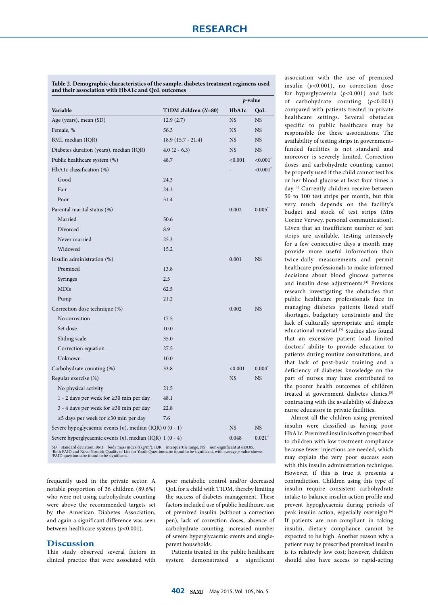**Table 2. Demographic characteristics of the sample, diabetes treatment regimens used and their association with HbA1c and QoL outcomes**

|                                                                                                                                                                                                                                                                                                               |                          | p-value      |                        |
|---------------------------------------------------------------------------------------------------------------------------------------------------------------------------------------------------------------------------------------------------------------------------------------------------------------|--------------------------|--------------|------------------------|
| Variable                                                                                                                                                                                                                                                                                                      | $T1DM$ children $(N=80)$ | <b>HbA1c</b> | QoL                    |
| Age (years), mean (SD)                                                                                                                                                                                                                                                                                        | 12.9(2.7)                | <b>NS</b>    | <b>NS</b>              |
| Female, %                                                                                                                                                                                                                                                                                                     | 56.3                     | <b>NS</b>    | <b>NS</b>              |
| BMI, median (IQR)                                                                                                                                                                                                                                                                                             | $18.9(15.7 - 21.4)$      | <b>NS</b>    | <b>NS</b>              |
| Diabetes duration (years), median (IQR)                                                                                                                                                                                                                                                                       | $4.0(2 - 6.3)$           | <b>NS</b>    | <b>NS</b>              |
| Public healthcare system (%)                                                                                                                                                                                                                                                                                  | 48.7                     | < 0.001      | $< 0.001$ <sup>*</sup> |
| $HbA1c$ classification $(\%)$                                                                                                                                                                                                                                                                                 |                          |              | $<$ 0.001 $^{\circ}$   |
| Good                                                                                                                                                                                                                                                                                                          | 24.3                     |              |                        |
| Fair                                                                                                                                                                                                                                                                                                          | 24.3                     |              |                        |
| Poor                                                                                                                                                                                                                                                                                                          | 51.4                     |              |                        |
| Parental marital status (%)                                                                                                                                                                                                                                                                                   |                          | 0.002        | $0.005*$               |
| Married                                                                                                                                                                                                                                                                                                       | 50.6                     |              |                        |
| Divorced                                                                                                                                                                                                                                                                                                      | 8.9                      |              |                        |
| Never married                                                                                                                                                                                                                                                                                                 | 25.3                     |              |                        |
| Widowed                                                                                                                                                                                                                                                                                                       | 15.2                     |              |                        |
| Insulin administration (%)                                                                                                                                                                                                                                                                                    |                          | 0.001        | <b>NS</b>              |
| Premixed                                                                                                                                                                                                                                                                                                      | 13.8                     |              |                        |
| Syringes                                                                                                                                                                                                                                                                                                      | 2.5                      |              |                        |
| <b>MDIs</b>                                                                                                                                                                                                                                                                                                   | 62.5                     |              |                        |
| Pump                                                                                                                                                                                                                                                                                                          | 21.2                     |              |                        |
| Correction dose technique (%)                                                                                                                                                                                                                                                                                 |                          | 0.002        | <b>NS</b>              |
| No correction                                                                                                                                                                                                                                                                                                 | 17.5                     |              |                        |
| Set dose                                                                                                                                                                                                                                                                                                      | 10.0                     |              |                        |
| Sliding scale                                                                                                                                                                                                                                                                                                 | 35.0                     |              |                        |
| Correction equation                                                                                                                                                                                                                                                                                           | 27.5                     |              |                        |
| Unknown                                                                                                                                                                                                                                                                                                       | 10.0                     |              |                        |
| Carbohydrate counting (%)                                                                                                                                                                                                                                                                                     | 33.8                     | < 0.001      | $0.004^*$              |
| Regular exercise (%)                                                                                                                                                                                                                                                                                          |                          | <b>NS</b>    | <b>NS</b>              |
| No physical activity                                                                                                                                                                                                                                                                                          | 21.5                     |              |                        |
| 1 - 2 days per week for $\geq$ 30 min per day                                                                                                                                                                                                                                                                 | 48.1                     |              |                        |
| 3 - 4 days per week for $\geq$ 30 min per day                                                                                                                                                                                                                                                                 | 22.8                     |              |                        |
| $\geq$ 5 days per week for $\geq$ 30 min per day                                                                                                                                                                                                                                                              | 7.6                      |              |                        |
| Severe hypoglycaemic events $(n)$ , median $(IQR)$ 0 $(0 - 1)$                                                                                                                                                                                                                                                |                          | <b>NS</b>    | <b>NS</b>              |
| Severe hyperglycaemic events $(n)$ , median (IQR) 1 $(0 - 4)$                                                                                                                                                                                                                                                 |                          | 0.048        | $0.021$ <sup>†</sup>   |
| SD = standard deviation; BMI = body mass index ((kg/m <sup>2</sup> ); IQR = interquartile range; NS = non-significant at $\alpha \le 0.05$ .<br>'Both PAID and Novo Nordisk Quality of Life for Youth Questionnaire found to be significant, with<br><sup>†</sup> PAID questionnaire found to be significant. |                          |              |                        |

frequently used in the private sector. A notable proportion of 36 children (89.6%) who were not using carbohydrate counting were above the recommended targets set by the American Diabetes Association, and again a significant difference was seen between healthcare systems (*p*<0.001).

# **Discussion**

This study observed several factors in clinical practice that were associated with poor metabolic control and/or decreased QoL for a child with T1DM, thereby limiting the success of diabetes management. These factors included use of public healthcare, use of premixed insulin (without a correction pen), lack of correction doses, absence of carbohydrate counting, increased number of severe hyperglycaemic events and singleparent households.

Patients treated in the public healthcare system demonstrated a significant association with the use of premixed insulin (*p*<0.001), no correction dose for hyperglycaemia (*p*<0.001) and lack of carbohydrate counting (*p*<0.001) compared with patients treated in private healthcare settings. Several obstacles specific to public healthcare may be responsible for these associations. The availability of testing strips in governmentfunded facilities is not standard and moreover is severely limited. Correction doses and carbohydrate counting cannot be properly used if the child cannot test his or her blood glucose at least four times a day.<sup>[3]</sup> Currently children receive between 50 to 100 test strips per month, but this very much depends on the facility's budget and stock of test strips (Mrs Corine Verwey, personal communication). Given that an insufficient number of test strips are available, testing intensively for a few consecutive days a month may provide more useful information than twice-daily measurements and permit healthcare professionals to make informed decisions about blood glucose patterns and insulin dose adjustments.<sup>[4]</sup> Previous research investigating the obstacles that public healthcare professionals face in managing diabetes patients listed staff shortages, budgetary constraints and the lack of culturally appropriate and simple educational material.<sup>[5]</sup> Studies also found that an excessive patient load limited doctors' ability to provide education to patients during routine consultations, and that lack of post-basic training and a deficiency of diabetes knowledge on the part of nurses may have contributed to the poorer health outcomes of children treated at government diabetes clinics, [5] contrasting with the availability of diabetes nurse educators in private facilities.

Almost all the children using premixed insulin were classified as having poor HbA1c. Premixed insulin is often prescribed to children with low treatment compliance because fewer injections are needed, which may explain the very poor success seen with this insulin administration technique. However, if this is true it presents a contradiction. Children using this type of insulin require consistent carbohydrate intake to balance insulin action profile and prevent hypoglycaemia during periods of peak insulin action, especially overnight.<sup>[6]</sup> If patients are non-compliant in taking insulin, dietary compliance cannot be expected to be high. Another reason why a patient may be prescribed premixed insulin is its relatively low cost; however, children should also have access to rapid-acting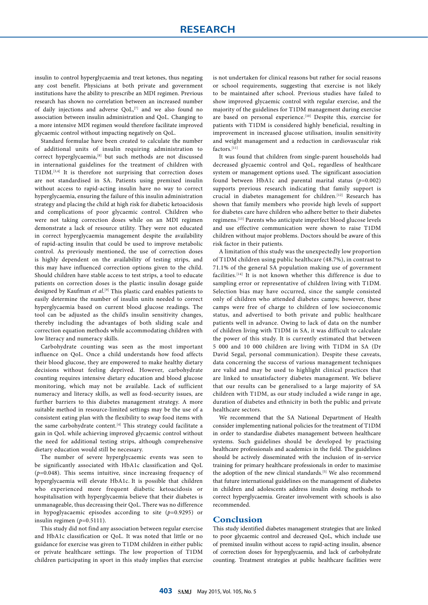insulin to control hyperglycaemia and treat ketones, thus negating any cost benefit. Physicians at both private and government institutions have the ability to prescribe an MDI regimen. Previous research has shown no correlation between an increased number of daily injections and adverse OoL,<sup>[7]</sup> and we also found no association between insulin administration and QoL. Changing to a more intensive MDI regimen would therefore facilitate improved glycaemic control without impacting negatively on QoL.

Standard formulae have been created to calculate the number of additional units of insulin requiring administration to correct hyperglycaemia,[8] but such methods are not discussed in international guidelines for the treatment of children with T1DM.[3,4] It is therefore not surprising that correction doses are not standardised in SA. Patients using premixed insulin without access to rapid-acting insulin have no way to correct hyperglycaemia, ensuring the failure of this insulin administration strategy and placing the child at high risk for diabetic ketoacidosis and complications of poor glycaemic control. Children who were not taking correction doses while on an MDI regimen demonstrate a lack of resource utility. They were not educated in correct hyperglycaemia management despite the availability of rapid-acting insulin that could be used to improve metabolic control. As previously mentioned, the use of correction doses is highly dependent on the availability of testing strips, and this may have influenced correction options given to the child. Should children have stable access to test strips, a tool to educate patients on correction doses is the plastic insulin dosage guide designed by Kaufman *et al*. [9] This plastic card enables patients to easily determine the number of insulin units needed to correct hyperglycaemia based on current blood glucose readings. The tool can be adjusted as the child's insulin sensitivity changes, thereby including the advantages of both sliding scale and correction equation methods while accommodating children with low literacy and numeracy skills.

Carbohydrate counting was seen as the most important influence on QoL. Once a child understands how food affects their blood glucose, they are empowered to make healthy dietary decisions without feeling deprived. However, carbohydrate counting requires intensive dietary education and blood glucose monitoring, which may not be available. Lack of sufficient numeracy and literacy skills, as well as food-security issues, are further barriers to this diabetes management strategy. A more suitable method in resource-limited settings may be the use of a consistent eating plan with the flexibility to swap food items with the same carbohydrate content.<sup>[4]</sup> This strategy could facilitate a gain in QoL while achieving improved glycaemic control without the need for additional testing strips, although comprehensive dietary education would still be necessary.

The number of severe hyperglycaemic events was seen to be significantly associated with HbA1c classification and QoL (*p*=0.048). This seems intuitive, since increasing frequency of hyperglycaemia will elevate HbA1c. It is possible that children who experienced more frequent diabetic ketoacidosis or hospitalisation with hyperglycaemia believe that their diabetes is unmanageable, thus decreasing their QoL. There was no difference in hypoglyacaemic episodes according to site (*p*=0.9295) or insulin regimen  $(p=0.5111)$ .

This study did not find any association between regular exercise and HbA1c classification or QoL. It was noted that little or no guidance for exercise was given to T1DM children in either public or private healthcare settings. The low proportion of T1DM children participating in sport in this study implies that exercise

is not undertaken for clinical reasons but rather for social reasons or school requirements, suggesting that exercise is not likely to be maintained after school. Previous studies have failed to show improved glycaemic control with regular exercise, and the majority of the guidelines for T1DM management during exercise are based on personal experience.<sup>[10]</sup> Despite this, exercise for patients with T1DM is considered highly beneficial, resulting in improvement in increased glucose utilisation, insulin sensitivity and weight management and a reduction in cardiovascular risk factors.[11]

It was found that children from single-parent households had decreased glycaemic control and QoL, regardless of healthcare system or management options used. The significant association found between HbA1c and parental marital status (*p*=0.002) supports previous research indicating that family support is crucial in diabetes management for children.[12] Research has shown that family members who provide high levels of support for diabetes care have children who adhere better to their diabetes regimens.[13] Parents who anticipate imperfect blood glucose levels and use effective communication were shown to raise T1DM children without major problems. Doctors should be aware of this risk factor in their patients.

A limitation of this study was the unexpectedly low proportion of T1DM children using public healthcare (48.7%), in contrast to 71.1% of the general SA population making use of government facilities.[14] It is not known whether this difference is due to sampling error or representative of children living with T1DM. Selection bias may have occurred, since the sample consisted only of children who attended diabetes camps; however, these camps were free of charge to children of low socioeconomic status, and advertised to both private and public healthcare patients well in advance. Owing to lack of data on the number of children living with T1DM in SA, it was difficult to calculate the power of this study. It is currently estimated that between 5 000 and 10 000 children are living with T1DM in SA (Dr David Segal, personal communication). Despite these caveats, data concerning the success of various management techniques are valid and may be used to highlight clinical practices that are linked to unsatisfactory diabetes management. We believe that our results can be generalised to a large majority of SA children with T1DM, as our study included a wide range in age, duration of diabetes and ethnicity in both the public and private healthcare sectors.

We recommend that the SA National Department of Health consider implementing national policies for the treatment of T1DM in order to standardise diabetes management between healthcare systems. Such guidelines should be developed by practising healthcare professionals and academics in the field. The guidelines should be actively disseminated with the inclusion of in-service training for primary healthcare professionals in order to maximise the adoption of the new clinical standards.<sup>[5]</sup> We also recommend that future international guidelines on the management of diabetes in children and adolescents address insulin dosing methods to correct hyperglycaemia. Greater involvement with schools is also recommended.

### **Conclusion**

This study identified diabetes management strategies that are linked to poor glycaemic control and decreased QoL, which include use of premixed insulin without access to rapid-acting insulin, absence of correction doses for hyperglycaemia, and lack of carbohydrate counting. Treatment strategies at public healthcare facilities were